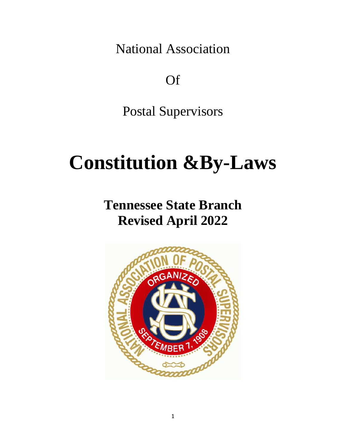National Association

Of

Postal Supervisors

# **Constitution &By-Laws**

**Tennessee State Branch Revised April 2022**

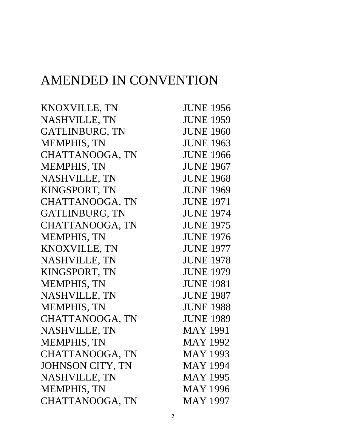## AMENDED IN CONVENTION

| KNOXVILLE, TN         | <b>JUNE 1956</b> |
|-----------------------|------------------|
| NASHVILLE, TN         | <b>JUNE 1959</b> |
| <b>GATLINBURG, TN</b> | <b>JUNE 1960</b> |
| <b>MEMPHIS, TN</b>    | <b>JUNE 1963</b> |
| CHATTANOOGA, TN       | <b>JUNE 1966</b> |
| <b>MEMPHIS, TN</b>    | <b>JUNE 1967</b> |
| NASHVILLE, TN         | <b>JUNE 1968</b> |
| KINGSPORT, TN         | <b>JUNE 1969</b> |
| CHATTANOOGA, TN       | <b>JUNE 1971</b> |
| <b>GATLINBURG, TN</b> | <b>JUNE 1974</b> |
| CHATTANOOGA, TN       | <b>JUNE 1975</b> |
| <b>MEMPHIS, TN</b>    | <b>JUNE 1976</b> |
| KNOXVILLE, TN         | <b>JUNE 1977</b> |
| NASHVILLE, TN         | <b>JUNE 1978</b> |
| KINGSPORT, TN         | <b>JUNE 1979</b> |
| <b>MEMPHIS, TN</b>    | <b>JUNE 1981</b> |
| NASHVILLE, TN         | <b>JUNE 1987</b> |
| <b>MEMPHIS, TN</b>    | <b>JUNE 1988</b> |
| CHATTANOOGA, TN       | <b>JUNE 1989</b> |
| <b>NASHVILLE, TN</b>  | <b>MAY 1991</b>  |
| <b>MEMPHIS, TN</b>    | <b>MAY 1992</b>  |
| CHATTANOOGA, TN       | <b>MAY 1993</b>  |
| JOHNSON CITY, TN      | <b>MAY 1994</b>  |
| NASHVILLE, TN         | <b>MAY 1995</b>  |
| <b>MEMPHIS, TN</b>    | <b>MAY 1996</b>  |
| CHATTANOOGA, TN       | <b>MAY 1997</b>  |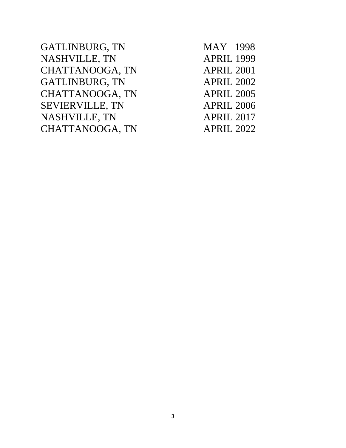GATLINBURG, TN MAY 1998 NASHVILLE, TN APRIL 1999 CHATTANOOGA, TN APRIL 2001 GATLINBURG, TN APRIL 2002 CHATTANOOGA, TN APRIL 2005 SEVIERVILLE, TN APRIL 2006 NASHVILLE, TN APRIL 2017 CHATTANOOGA, TN APRIL 2022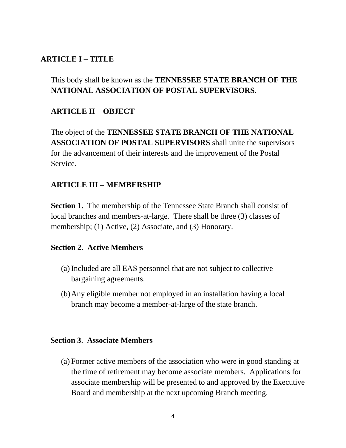## **ARTICLE I – TITLE**

## This body shall be known as the **TENNESSEE STATE BRANCH OF THE NATIONAL ASSOCIATION OF POSTAL SUPERVISORS.**

## **ARTICLE II – OBJECT**

The object of the **TENNESSEE STATE BRANCH OF THE NATIONAL ASSOCIATION OF POSTAL SUPERVISORS** shall unite the supervisors for the advancement of their interests and the improvement of the Postal Service.

#### **ARTICLE III – MEMBERSHIP**

**Section 1.** The membership of the Tennessee State Branch shall consist of local branches and members-at-large*.* There shall be three (3) classes of membership; (1) Active, (2) Associate, and (3) Honorary.

#### **Section 2.****Active Members**

- (a) Included are all EAS personnel that are not subject to collective bargaining agreements.
- (b)Any eligible member not employed in an installation having a local branch may become a member-at-large of the state branch.

#### **Section 3**. **Associate Members**

(a) Former active members of the association who were in good standing at the time of retirement may become associate members. Applications for associate membership will be presented to and approved by the Executive Board and membership at the next upcoming Branch meeting.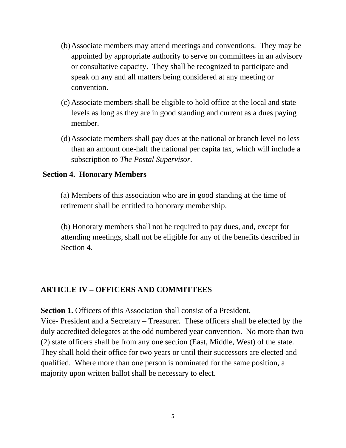- (b)Associate members may attend meetings and conventions. They may be appointed by appropriate authority to serve on committees in an advisory or consultative capacity. They shall be recognized to participate and speak on any and all matters being considered at any meeting or convention.
- (c) Associate members shall be eligible to hold office at the local and state levels as long as they are in good standing and current as a dues paying member.
- (d)Associate members shall pay dues at the national or branch level no less than an amount one-half the national per capita tax, which will include a subscription to *The Postal Supervisor.*

#### **Section 4. Honorary Members**

(a) Members of this association who are in good standing at the time of retirement shall be entitled to honorary membership.

(b) Honorary members shall not be required to pay dues, and, except for attending meetings, shall not be eligible for any of the benefits described in Section 4.

## **ARTICLE IV – OFFICERS AND COMMITTEES**

**Section 1.** Officers of this Association shall consist of a President, Vice- President and a Secretary – Treasurer. These officers shall be elected by the duly accredited delegates at the odd numbered year convention. No more than two (2) state officers shall be from any one section (East, Middle, West) of the state. They shall hold their office for two years or until their successors are elected and qualified. Where more than one person is nominated for the same position, a majority upon written ballot shall be necessary to elect.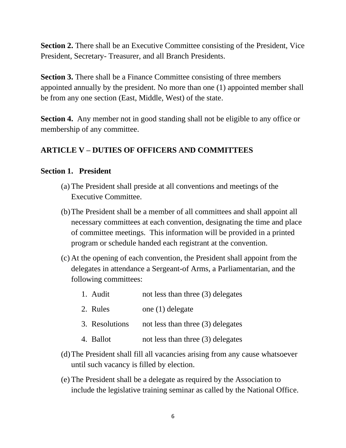**Section 2.** There shall be an Executive Committee consisting of the President, Vice President, Secretary- Treasurer, and all Branch Presidents.

**Section 3.** There shall be a Finance Committee consisting of three members appointed annually by the president. No more than one (1) appointed member shall be from any one section (East, Middle, West) of the state.

**Section 4.** Any member not in good standing shall not be eligible to any office or membership of any committee.

## **ARTICLE V – DUTIES OF OFFICERS AND COMMITTEES**

#### **Section 1. President**

- (a) The President shall preside at all conventions and meetings of the Executive Committee.
- (b)The President shall be a member of all committees and shall appoint all necessary committees at each convention, designating the time and place of committee meetings. This information will be provided in a printed program or schedule handed each registrant at the convention.
- (c) At the opening of each convention, the President shall appoint from the delegates in attendance a Sergeant-of Arms, a Parliamentarian, and the following committees:
	- 1. Audit not less than three (3) delegates
	- 2. Rules one (1) delegate
	- 3. Resolutions not less than three (3) delegates
	- 4. Ballot not less than three (3) delegates
- (d)The President shall fill all vacancies arising from any cause whatsoever until such vacancy is filled by election.
- (e) The President shall be a delegate as required by the Association to include the legislative training seminar as called by the National Office.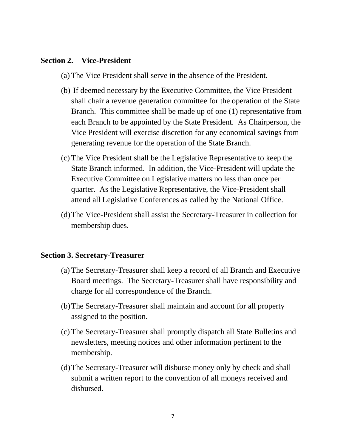#### **Section 2. Vice-President**

- (a) The Vice President shall serve in the absence of the President.
- (b) If deemed necessary by the Executive Committee, the Vice President shall chair a revenue generation committee for the operation of the State Branch. This committee shall be made up of one (1) representative from each Branch to be appointed by the State President. As Chairperson, the Vice President will exercise discretion for any economical savings from generating revenue for the operation of the State Branch.
- (c) The Vice President shall be the Legislative Representative to keep the State Branch informed. In addition, the Vice-President will update the Executive Committee on Legislative matters no less than once per quarter.As the Legislative Representative, the Vice-President shall attend all Legislative Conferences as called by the National Office.
- (d)The Vice-President shall assist the Secretary-Treasurer in collection for membership dues.

#### **Section 3. Secretary-Treasurer**

- (a) The Secretary-Treasurer shall keep a record of all Branch and Executive Board meetings. The Secretary-Treasurer shall have responsibility and charge for all correspondence of the Branch.
- (b)The Secretary-Treasurer shall maintain and account for all property assigned to the position.
- (c) The Secretary-Treasurer shall promptly dispatch all State Bulletins and newsletters, meeting notices and other information pertinent to the membership.
- (d)The Secretary-Treasurer will disburse money only by check and shall submit a written report to the convention of all moneys received and disbursed.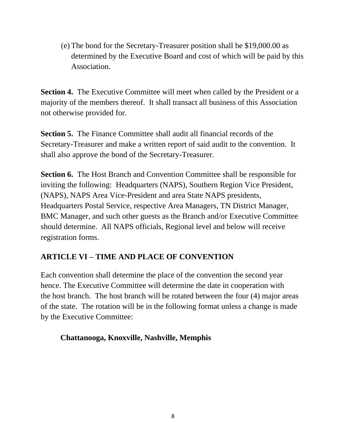(e) The bond for the Secretary-Treasurer position shall be \$19,000.00 as determined by the Executive Board and cost of which will be paid by this Association.

**Section 4.** The Executive Committee will meet when called by the President or a majority of the members thereof. It shall transact all business of this Association not otherwise provided for.

**Section 5.** The Finance Committee shall audit all financial records of the Secretary-Treasurer and make a written report of said audit to the convention. It shall also approve the bond of the Secretary-Treasurer.

**Section 6.** The Host Branch and Convention Committee shall be responsible for inviting the following: Headquarters (NAPS), Southern Region Vice President, (NAPS), NAPS Area Vice-President and area State NAPS presidents, Headquarters Postal Service, respective Area Managers, TN District Manager, BMC Manager, and such other guests as the Branch and/or Executive Committee should determine. All NAPS officials, Regional level and below will receive registration forms.

## **ARTICLE VI – TIME AND PLACE OF CONVENTION**

Each convention shall determine the place of the convention the second year hence. The Executive Committee will determine the date in cooperation with the host branch. The host branch will be rotated between the four (4) major areas of the state. The rotation will be in the following format unless a change is made by the Executive Committee:

## **Chattanooga, Knoxville, Nashville, Memphis**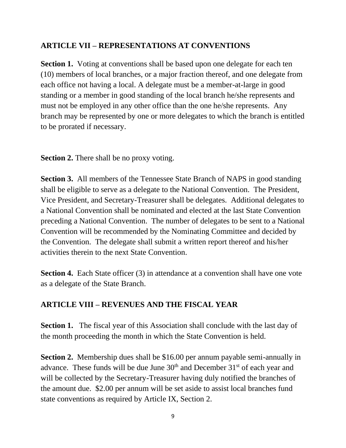## **ARTICLE VII – REPRESENTATIONS AT CONVENTIONS**

**Section 1.** Voting at conventions shall be based upon one delegate for each ten (10) members of local branches, or a major fraction thereof, and one delegate from each office not having a local. A delegate must be a member-at-large in good standing or a member in good standing of the local branch he/she represents and must not be employed in any other office than the one he/she represents. Any branch may be represented by one or more delegates to which the branch is entitled to be prorated if necessary.

**Section 2.** There shall be no proxy voting.

**Section 3.** All members of the Tennessee State Branch of NAPS in good standing shall be eligible to serve as a delegate to the National Convention. The President, Vice President, and Secretary-Treasurer shall be delegates. Additional delegates to a National Convention shall be nominated and elected at the last State Convention preceding a National Convention. The number of delegates to be sent to a National Convention will be recommended by the Nominating Committee and decided by the Convention. The delegate shall submit a written report thereof and his/her activities therein to the next State Convention.

**Section 4.** Each State officer (3) in attendance at a convention shall have one vote as a delegate of the State Branch.

## **ARTICLE VIII – REVENUES AND THE FISCAL YEAR**

**Section 1.** The fiscal year of this Association shall conclude with the last day of the month proceeding the month in which the State Convention is held.

**Section 2.** Membership dues shall be \$16.00 per annum payable semi-annually in advance. These funds will be due June  $30<sup>th</sup>$  and December  $31<sup>st</sup>$  of each year and will be collected by the Secretary-Treasurer having duly notified the branches of the amount due. \$2.00 per annum will be set aside to assist local branches fund state conventions as required by Article IX, Section 2.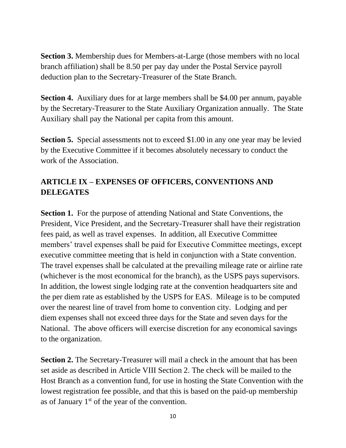**Section 3.** Membership dues for Members-at-Large (those members with no local branch affiliation) shall be 8.50 per pay day under the Postal Service payroll deduction plan to the Secretary-Treasurer of the State Branch.

**Section 4.** Auxiliary dues for at large members shall be \$4.00 per annum, payable by the Secretary-Treasurer to the State Auxiliary Organization annually. The State Auxiliary shall pay the National per capita from this amount.

**Section 5.** Special assessments not to exceed \$1.00 in any one year may be levied by the Executive Committee if it becomes absolutely necessary to conduct the work of the Association.

## **ARTICLE IX – EXPENSES OF OFFICERS, CONVENTIONS AND DELEGATES**

**Section 1.** For the purpose of attending National and State Conventions, the President, Vice President, and the Secretary-Treasurer shall have their registration fees paid, as well as travel expenses. In addition, all Executive Committee members' travel expenses shall be paid for Executive Committee meetings, except executive committee meeting that is held in conjunction with a State convention. The travel expenses shall be calculated at the prevailing mileage rate or airline rate (whichever is the most economical for the branch), as the USPS pays supervisors. In addition, the lowest single lodging rate at the convention headquarters site and the per diem rate as established by the USPS for EAS. Mileage is to be computed over the nearest line of travel from home to convention city. Lodging and per diem expenses shall not exceed three days for the State and seven days for the National. The above officers will exercise discretion for any economical savings to the organization.

**Section 2.** The Secretary-Treasurer will mail a check in the amount that has been set aside as described in Article VIII Section 2. The check will be mailed to the Host Branch as a convention fund*,* for use in hosting the State Convention with the lowest registration fee possible, and that this is based on the paid-up membership as of January  $1<sup>st</sup>$  of the year of the convention.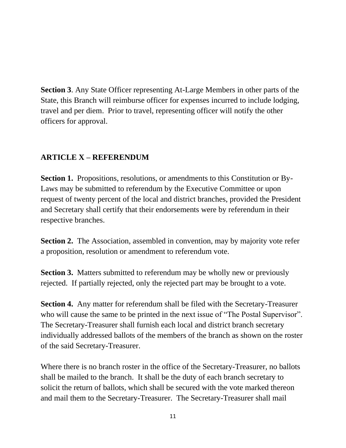**Section 3**. Any State Officer representing At-Large Members in other parts of the State, this Branch will reimburse officer for expenses incurred to include lodging, travel and per diem. Prior to travel, representing officer will notify the other officers for approval.

## **ARTICLE X – REFERENDUM**

**Section 1.** Propositions, resolutions, or amendments to this Constitution or By-Laws may be submitted to referendum by the Executive Committee or upon request of twenty percent of the local and district branches, provided the President and Secretary shall certify that their endorsements were by referendum in their respective branches.

**Section 2.** The Association, assembled in convention, may by majority vote refer a proposition, resolution or amendment to referendum vote.

**Section 3.** Matters submitted to referendum may be wholly new or previously rejected. If partially rejected, only the rejected part may be brought to a vote.

**Section 4.** Any matter for referendum shall be filed with the Secretary-Treasurer who will cause the same to be printed in the next issue of "The Postal Supervisor". The Secretary-Treasurer shall furnish each local and district branch secretary individually addressed ballots of the members of the branch as shown on the roster of the said Secretary-Treasurer.

Where there is no branch roster in the office of the Secretary-Treasurer, no ballots shall be mailed to the branch. It shall be the duty of each branch secretary to solicit the return of ballots, which shall be secured with the vote marked thereon and mail them to the Secretary-Treasurer. The Secretary-Treasurer shall mail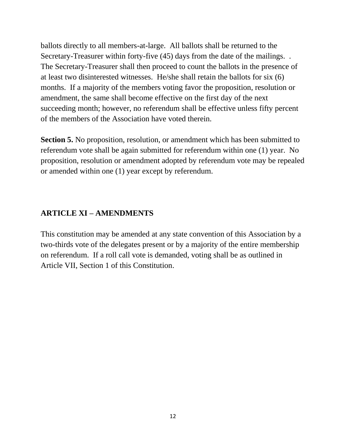ballots directly to all members-at-large. All ballots shall be returned to the Secretary-Treasurer within forty-five (45) days from the date of the mailings. . The Secretary-Treasurer shall then proceed to count the ballots in the presence of at least two disinterested witnesses. He/she shall retain the ballots for six (6) months. If a majority of the members voting favor the proposition, resolution or amendment, the same shall become effective on the first day of the next succeeding month; however, no referendum shall be effective unless fifty percent of the members of the Association have voted therein.

**Section 5.** No proposition, resolution, or amendment which has been submitted to referendum vote shall be again submitted for referendum within one (1) year. No proposition, resolution or amendment adopted by referendum vote may be repealed or amended within one (1) year except by referendum.

## **ARTICLE XI – AMENDMENTS**

This constitution may be amended at any state convention of this Association by a two-thirds vote of the delegates present or by a majority of the entire membership on referendum. If a roll call vote is demanded, voting shall be as outlined in Article VII, Section 1 of this Constitution.